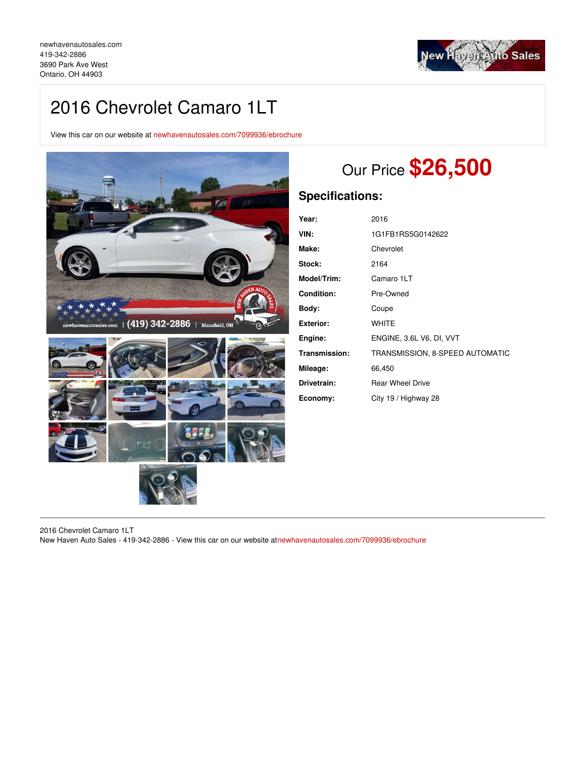

# 2016 Chevrolet Camaro 1LT

View this car on our website at [newhavenautosales.com/7099936/ebrochure](https://newhavenautosales.com/vehicle/7099936/2016-chevrolet-camaro-1lt-ontario-oh-44903/7099936/ebrochure)



# Our Price **\$26,500**

# **Specifications:**

| Year:             | 2016                            |
|-------------------|---------------------------------|
| VIN:              | 1G1FB1RS5G0142622               |
| Make:             | Chevrolet                       |
| Stock:            | 2164                            |
| Model/Trim:       | Camaro 1LT                      |
| <b>Condition:</b> | Pre-Owned                       |
| Body:             | Coupe                           |
| <b>Exterior:</b>  | <b>WHITE</b>                    |
| Engine:           | ENGINE, 3.6L V6, DI, VVT        |
| Transmission:     | TRANSMISSION, 8-SPEED AUTOMATIC |
| Mileage:          | 66,450                          |
| Drivetrain:       | <b>Rear Wheel Drive</b>         |
| Economy:          | City 19 / Highway 28            |

2016 Chevrolet Camaro 1LT New Haven Auto Sales - 419-342-2886 - View this car on our website a[tnewhavenautosales.com/7099936/ebrochure](https://newhavenautosales.com/vehicle/7099936/2016-chevrolet-camaro-1lt-ontario-oh-44903/7099936/ebrochure)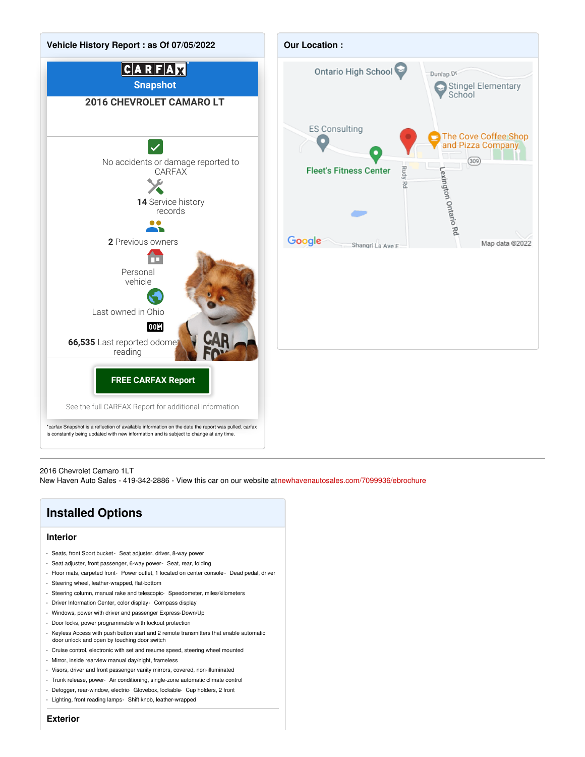

 $(309)$ 

Map data @2022

#### 2016 Chevrolet Camaro 1LT

New Haven Auto Sales - 419-342-2886 - View this car on our website a[tnewhavenautosales.com/7099936/ebrochure](https://newhavenautosales.com/vehicle/7099936/2016-chevrolet-camaro-1lt-ontario-oh-44903/7099936/ebrochure)

# **Installed Options**

#### **Interior**

- Seats, front Sport bucket- Seat adjuster, driver, 8-way power
- Seat adjuster, front passenger, 6-way power- Seat, rear, folding
- Floor mats, carpeted front- Power outlet, 1 located on center console- Dead pedal, driver
- Steering wheel, leather-wrapped, flat-bottom
- Steering column, manual rake and telescopic- Speedometer, miles/kilometers
- Driver Information Center, color display- Compass display
- Windows, power with driver and passenger Express-Down/Up
- Door locks, power programmable with lockout protection
- Keyless Access with push button start and 2 remote transmitters that enable automatic door unlock and open by touching door switch
- Cruise control, electronic with set and resume speed, steering wheel mounted
- Mirror, inside rearview manual day/night, frameless
- Visors, driver and front passenger vanity mirrors, covered, non-illuminated
- Trunk release, power- Air conditioning, single-zone automatic climate control
- Defogger, rear-window, electric- Glovebox, lockable- Cup holders, 2 front
- Lighting, front reading lamps- Shift knob, leather-wrapped

**Exterior**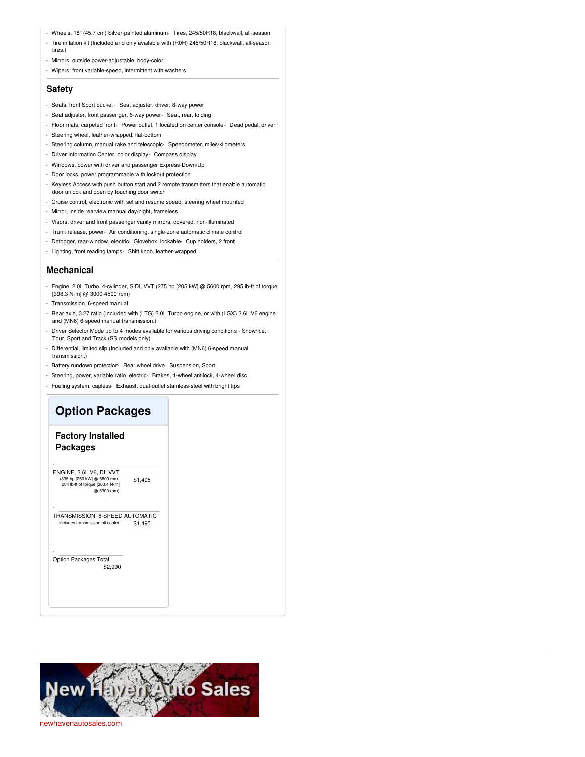- Wheels, 18" (45.7 cm) Silver-painted aluminum- Tires, 245/50R18, blackwall, all-season
- Tire inflation kit (Included and only available with (R0H) 245/50R18, blackwall, all-season tires.)
- Mirrors, outside power-adjustable, body-color
- Wipers, front variable-speed, intermittent with washers

### **Safety**

- Seats, front Sport bucket- Seat adjuster, driver, 8-way power
- Seat adjuster, front passenger, 6-way power- Seat, rear, folding
- Floor mats, carpeted front- Power outlet, 1 located on center console- Dead pedal, driver
- Steering wheel, leather-wrapped, flat-bottom
- Steering column, manual rake and telescopic- Speedometer, miles/kilometers
- Driver Information Center, color display- Compass display
- Windows, power with driver and passenger Express-Down/Up
- Door locks, power programmable with lockout protection
- Keyless Access with push button start and 2 remote transmitters that enable automatic door unlock and open by touching door switch
- Cruise control, electronic with set and resume speed, steering wheel mounted
- Mirror, inside rearview manual day/night, frameless
- Visors, driver and front passenger vanity mirrors, covered, non-illuminated
- Trunk release, power- Air conditioning, single-zone automatic climate control
- Defogger, rear-window, electric- Glovebox, lockable- Cup holders, 2 front
- Lighting, front reading lamps- Shift knob, leather-wrapped

### **Mechanical**

- Engine, 2.0L Turbo, 4-cylinder, SIDI, VVT (275 hp [205 kW] @ 5600 rpm, 295 lb-ft of torque [398.3 N-m] @ 3000-4500 rpm)
- Transmission, 6-speed manual
- Rear axle, 3.27 ratio (Included with (LTG) 2.0L Turbo engine, or with (LGX) 3.6L V6 engine and (MN6) 6-speed manual transmission.)
- Driver Selector Mode up to 4 modes available for various driving conditions Snow/Ice, Tour, Sport and Track (SS models only)
- Differential, limited slip (Included and only available with (MN6) 6-speed manual transmission.)
- Battery rundown protection- Rear wheel drive- Suspension, Sport
- Steering, power, variable ratio, electric- Brakes, 4-wheel antilock, 4-wheel disc
- Fueling system, capless- Exhaust, dual-outlet stainless-steel with bright tips

## **Option Packages**

## **Factory Installed Packages**

-

-

-

\$1,495 ENGINE, 3.6L V6, DI, VVT (335 hp [250 kW] @ 6800 rpm, 284 lb-ft of torque [383.4 N-m] @ 5300 rpm)

\$1,495 TRANSMISSION, 8-SPEED AUTOMATIC s transmission oil cooler

\$2,990 Option Packages Total